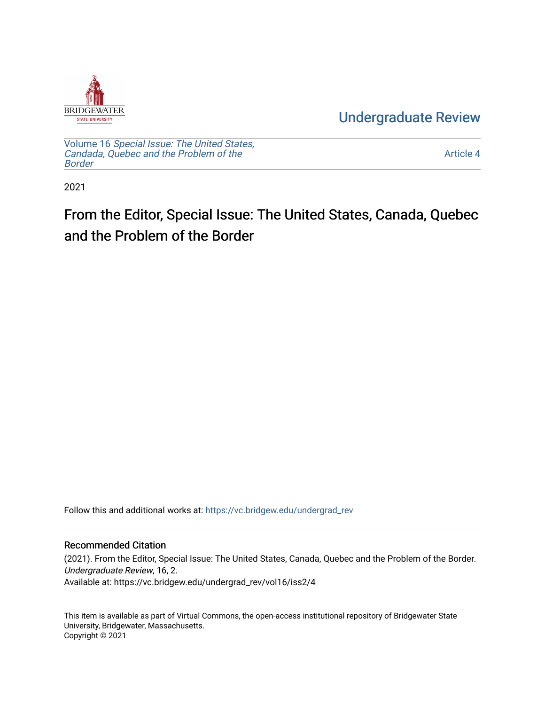

[Undergraduate Review](https://vc.bridgew.edu/undergrad_rev) 

Volume 16 [Special Issue: The United States,](https://vc.bridgew.edu/undergrad_rev/vol16)  [Candada, Quebec and the Problem of the](https://vc.bridgew.edu/undergrad_rev/vol16)  [Border](https://vc.bridgew.edu/undergrad_rev/vol16)

[Article 4](https://vc.bridgew.edu/undergrad_rev/vol16/iss2/4) 

2021

# From the Editor, Special Issue: The United States, Canada, Quebec and the Problem of the Border

Follow this and additional works at: [https://vc.bridgew.edu/undergrad\\_rev](https://vc.bridgew.edu/undergrad_rev?utm_source=vc.bridgew.edu%2Fundergrad_rev%2Fvol16%2Fiss2%2F4&utm_medium=PDF&utm_campaign=PDFCoverPages)

## Recommended Citation

(2021). From the Editor, Special Issue: The United States, Canada, Quebec and the Problem of the Border. Undergraduate Review, 16, 2. Available at: https://vc.bridgew.edu/undergrad\_rev/vol16/iss2/4

This item is available as part of Virtual Commons, the open-access institutional repository of Bridgewater State University, Bridgewater, Massachusetts. Copyright © 2021